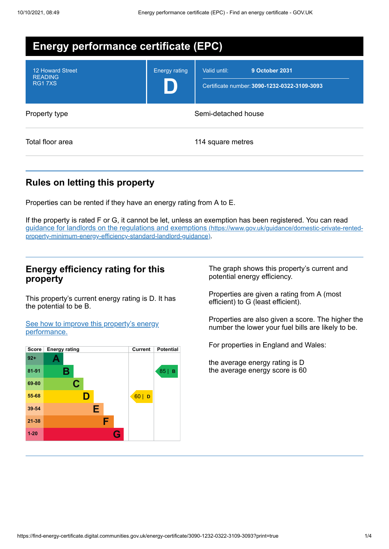| <b>Energy performance certificate (EPC)</b>                |                      |                                                                                |
|------------------------------------------------------------|----------------------|--------------------------------------------------------------------------------|
| <b>12 Howard Street</b><br><b>READING</b><br><b>RG17XS</b> | <b>Energy rating</b> | Valid until:<br>9 October 2031<br>Certificate number: 3090-1232-0322-3109-3093 |
| Property type                                              | Semi-detached house  |                                                                                |
| Total floor area                                           |                      | 114 square metres                                                              |

# **Rules on letting this property**

Properties can be rented if they have an energy rating from A to E.

If the property is rated F or G, it cannot be let, unless an exemption has been registered. You can read guidance for landlords on the regulations and exemptions (https://www.gov.uk/guidance/domestic-private-rented[property-minimum-energy-efficiency-standard-landlord-guidance\)](https://www.gov.uk/guidance/domestic-private-rented-property-minimum-energy-efficiency-standard-landlord-guidance).

## **Energy efficiency rating for this property**

This property's current energy rating is D. It has the potential to be B.

See how to improve this property's energy [performance.](#page-2-0)



The graph shows this property's current and potential energy efficiency.

Properties are given a rating from A (most efficient) to G (least efficient).

Properties are also given a score. The higher the number the lower your fuel bills are likely to be.

For properties in England and Wales:

the average energy rating is D the average energy score is 60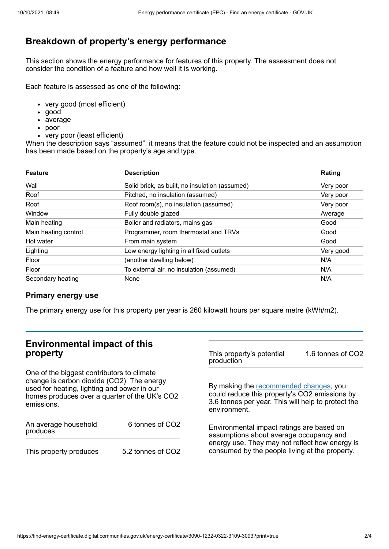# **Breakdown of property's energy performance**

This section shows the energy performance for features of this property. The assessment does not consider the condition of a feature and how well it is working.

Each feature is assessed as one of the following:

- very good (most efficient)
- good
- average
- poor
- very poor (least efficient)

When the description says "assumed", it means that the feature could not be inspected and an assumption has been made based on the property's age and type.

| <b>Feature</b>       | <b>Description</b>                             | Rating    |
|----------------------|------------------------------------------------|-----------|
| Wall                 | Solid brick, as built, no insulation (assumed) | Very poor |
| Roof                 | Pitched, no insulation (assumed)               | Very poor |
| Roof                 | Roof room(s), no insulation (assumed)          | Very poor |
| Window               | Fully double glazed                            | Average   |
| Main heating         | Boiler and radiators, mains gas                | Good      |
| Main heating control | Programmer, room thermostat and TRVs           | Good      |
| Hot water            | From main system                               | Good      |
| Lighting             | Low energy lighting in all fixed outlets       | Very good |
| Floor                | (another dwelling below)                       | N/A       |
| Floor                | To external air, no insulation (assumed)       | N/A       |
| Secondary heating    | None                                           | N/A       |

### **Primary energy use**

The primary energy use for this property per year is 260 kilowatt hours per square metre (kWh/m2).

| <b>Environmental impact of this</b><br>property                                                                                                                                                        |                             | This property's potential<br>production                                                                                                                                                  | 1.6 tonnes of CO2 |
|--------------------------------------------------------------------------------------------------------------------------------------------------------------------------------------------------------|-----------------------------|------------------------------------------------------------------------------------------------------------------------------------------------------------------------------------------|-------------------|
| One of the biggest contributors to climate<br>change is carbon dioxide (CO2). The energy<br>used for heating, lighting and power in our<br>homes produces over a quarter of the UK's CO2<br>emissions. |                             | By making the recommended changes, you<br>could reduce this property's CO2 emissions by<br>3.6 tonnes per year. This will help to protect the<br>environment.                            |                   |
| An average household<br>produces                                                                                                                                                                       | 6 tonnes of CO <sub>2</sub> | Environmental impact ratings are based on<br>assumptions about average occupancy and<br>energy use. They may not reflect how energy is<br>consumed by the people living at the property. |                   |
| This property produces                                                                                                                                                                                 | 5.2 tonnes of CO2           |                                                                                                                                                                                          |                   |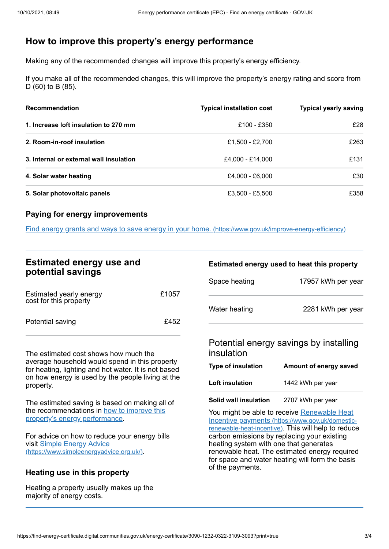# <span id="page-2-0"></span>**How to improve this property's energy performance**

Making any of the recommended changes will improve this property's energy efficiency.

If you make all of the recommended changes, this will improve the property's energy rating and score from D (60) to B (85).

| <b>Recommendation</b>                   | <b>Typical installation cost</b> | <b>Typical yearly saving</b> |
|-----------------------------------------|----------------------------------|------------------------------|
| 1. Increase loft insulation to 270 mm   | £100 - £350                      | £28                          |
| 2. Room-in-roof insulation              | £1,500 - £2,700                  | £263                         |
| 3. Internal or external wall insulation | £4.000 - £14.000                 | £131                         |
| 4. Solar water heating                  | £4,000 - £6,000                  | £30                          |
| 5. Solar photovoltaic panels            | £3,500 - £5,500                  | £358                         |

### **Paying for energy improvements**

Find energy grants and ways to save energy in your home. [\(https://www.gov.uk/improve-energy-efficiency\)](https://www.gov.uk/improve-energy-efficiency)

## **Estimated energy use and potential savings**

| Estimated yearly energy<br>cost for this property | £1057 |
|---------------------------------------------------|-------|
| Potential saving                                  | £452  |

The estimated cost shows how much the average household would spend in this property for heating, lighting and hot water. It is not based on how energy is used by the people living at the property.

The estimated saving is based on making all of the [recommendations](#page-2-0) in how to improve this property's energy performance.

For advice on how to reduce your energy bills visit Simple Energy Advice [\(https://www.simpleenergyadvice.org.uk/\)](https://www.simpleenergyadvice.org.uk/).

## **Heating use in this property**

Heating a property usually makes up the majority of energy costs.

#### **Estimated energy used to heat this property**

| Space heating | 17957 kWh per year |
|---------------|--------------------|
| Water heating | 2281 kWh per year  |

### Potential energy savings by installing insulation

| <b>Type of insulation</b> | Amount of energy saved |
|---------------------------|------------------------|
| Loft insulation           | 1442 kWh per year      |

**Solid wall insulation** 2707 kWh per year

You might be able to receive Renewable Heat Incentive payments [\(https://www.gov.uk/domestic](https://www.gov.uk/domestic-renewable-heat-incentive)renewable-heat-incentive). This will help to reduce carbon emissions by replacing your existing heating system with one that generates renewable heat. The estimated energy required for space and water heating will form the basis of the payments.